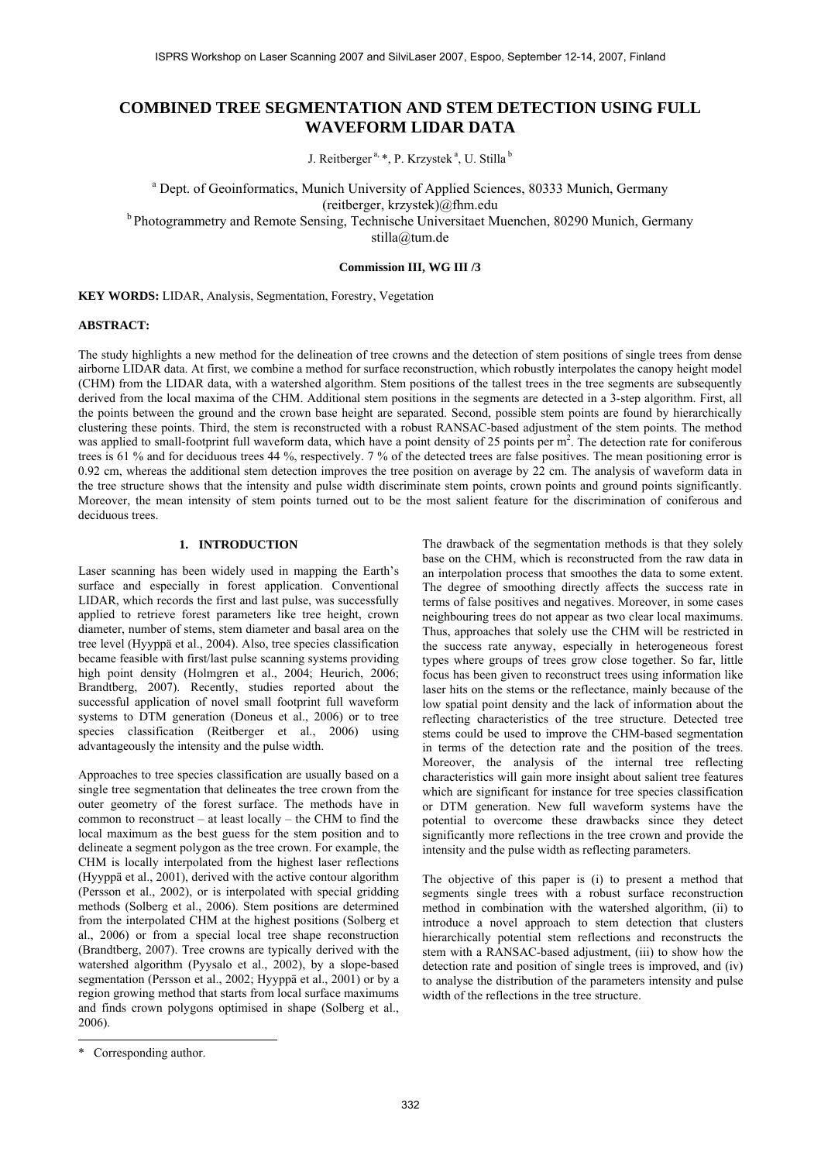# **COMBINED TREE SEGMENTATION AND STEM DETECTION USING FULL WAVEFORM LIDAR DATA**

J. Reitberger<sup>a, \*</sup>, P. Krzystek<sup>a</sup>, U. Stilla<sup>b</sup>

<sup>a</sup> Dept. of Geoinformatics, Munich University of Applied Sciences, 80333 Munich, Germany (reitberger, krzystek)@fhm.edu b Photogrammetry and Remote Sensing, Technische Universitaet Muenchen, 80290 Munich, Germany

stilla@tum.de

**Commission III, WG III /3** 

**KEY WORDS:** LIDAR, Analysis, Segmentation, Forestry, Vegetation

## **ABSTRACT:**

The study highlights a new method for the delineation of tree crowns and the detection of stem positions of single trees from dense airborne LIDAR data. At first, we combine a method for surface reconstruction, which robustly interpolates the canopy height model (CHM) from the LIDAR data, with a watershed algorithm. Stem positions of the tallest trees in the tree segments are subsequently derived from the local maxima of the CHM. Additional stem positions in the segments are detected in a 3-step algorithm. First, all the points between the ground and the crown base height are separated. Second, possible stem points are found by hierarchically clustering these points. Third, the stem is reconstructed with a robust RANSAC-based adjustment of the stem points. The method was applied to small-footprint full waveform data, which have a point density of 25 points per m<sup>2</sup>. The detection rate for coniferous trees is 61 % and for deciduous trees 44 %, respectively. 7 % of the detected trees are false positives. The mean positioning error is 0.92 cm, whereas the additional stem detection improves the tree position on average by 22 cm. The analysis of waveform data in the tree structure shows that the intensity and pulse width discriminate stem points, crown points and ground points significantly. Moreover, the mean intensity of stem points turned out to be the most salient feature for the discrimination of coniferous and deciduous trees.

## **1. INTRODUCTION**

Laser scanning has been widely used in mapping the Earth's surface and especially in forest application. Conventional LIDAR, which records the first and last pulse, was successfully applied to retrieve forest parameters like tree height, crown diameter, number of stems, stem diameter and basal area on the tree level (Hyyppä et al., 2004). Also, tree species classification became feasible with first/last pulse scanning systems providing high point density (Holmgren et al., 2004; Heurich, 2006; Brandtberg, 2007). Recently, studies reported about the successful application of novel small footprint full waveform systems to DTM generation (Doneus et al., 2006) or to tree species classification (Reitberger et al., 2006) using advantageously the intensity and the pulse width.

Approaches to tree species classification are usually based on a single tree segmentation that delineates the tree crown from the outer geometry of the forest surface. The methods have in common to reconstruct – at least locally – the CHM to find the local maximum as the best guess for the stem position and to delineate a segment polygon as the tree crown. For example, the CHM is locally interpolated from the highest laser reflections (Hyyppä et al., 2001), derived with the active contour algorithm (Persson et al., 2002), or is interpolated with special gridding methods (Solberg et al., 2006). Stem positions are determined from the interpolated CHM at the highest positions (Solberg et al., 2006) or from a special local tree shape reconstruction (Brandtberg, 2007). Tree crowns are typically derived with the watershed algorithm (Pyysalo et al., 2002), by a slope-based segmentation (Persson et al., 2002; Hyyppä et al., 2001) or by a region growing method that starts from local surface maximums and finds crown polygons optimised in shape (Solberg et al., 2006).

The drawback of the segmentation methods is that they solely base on the CHM, which is reconstructed from the raw data in an interpolation process that smoothes the data to some extent. The degree of smoothing directly affects the success rate in terms of false positives and negatives. Moreover, in some cases neighbouring trees do not appear as two clear local maximums. Thus, approaches that solely use the CHM will be restricted in the success rate anyway, especially in heterogeneous forest types where groups of trees grow close together. So far, little focus has been given to reconstruct trees using information like laser hits on the stems or the reflectance, mainly because of the low spatial point density and the lack of information about the reflecting characteristics of the tree structure. Detected tree stems could be used to improve the CHM-based segmentation in terms of the detection rate and the position of the trees. Moreover, the analysis of the internal tree reflecting characteristics will gain more insight about salient tree features which are significant for instance for tree species classification or DTM generation. New full waveform systems have the potential to overcome these drawbacks since they detect significantly more reflections in the tree crown and provide the intensity and the pulse width as reflecting parameters.

The objective of this paper is (i) to present a method that segments single trees with a robust surface reconstruction method in combination with the watershed algorithm, (ii) to introduce a novel approach to stem detection that clusters hierarchically potential stem reflections and reconstructs the stem with a RANSAC-based adjustment, (iii) to show how the detection rate and position of single trees is improved, and (iv) to analyse the distribution of the parameters intensity and pulse width of the reflections in the tree structure.

l

<sup>\*</sup> Corresponding author.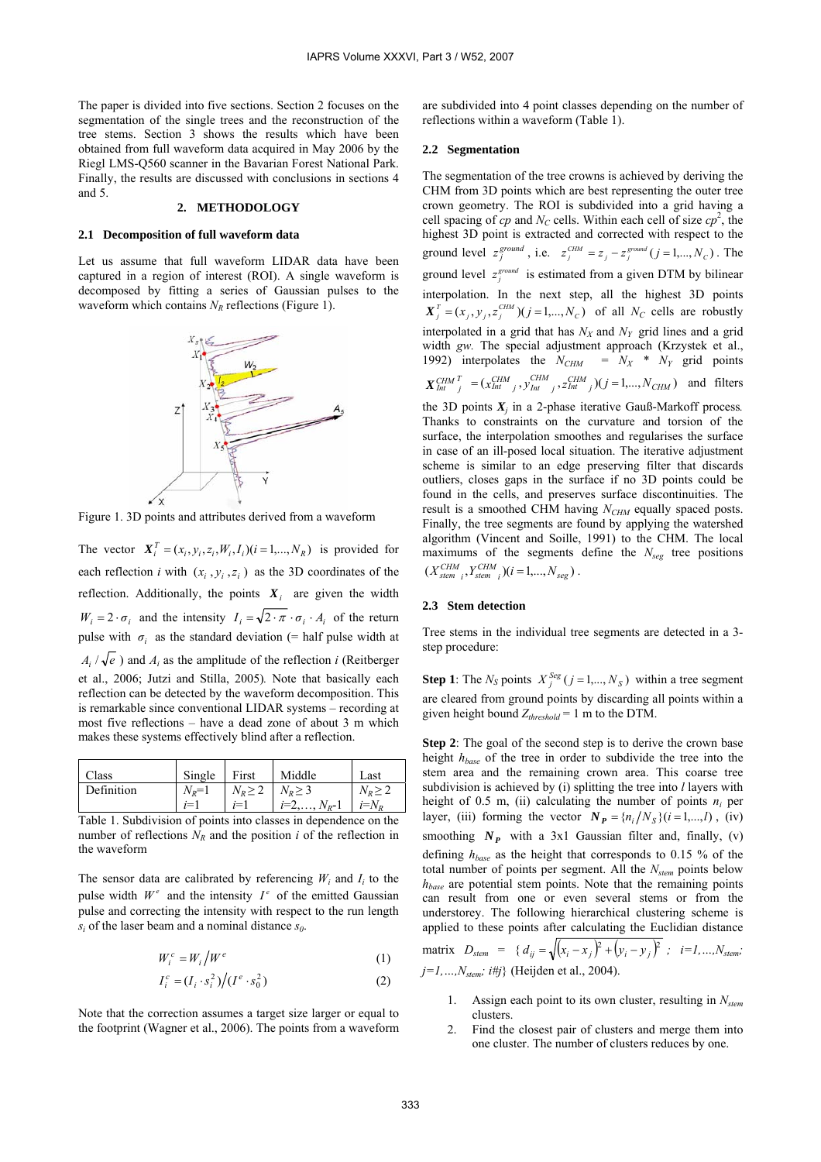The paper is divided into five sections. Section 2 focuses on the segmentation of the single trees and the reconstruction of the tree stems. Section 3 shows the results which have been obtained from full waveform data acquired in May 2006 by the Riegl LMS-Q560 scanner in the Bavarian Forest National Park. Finally, the results are discussed with conclusions in sections 4 and 5.

#### **2. METHODOLOGY**

#### **2.1 Decomposition of full waveform data**

Let us assume that full waveform LIDAR data have been captured in a region of interest (ROI). A single waveform is decomposed by fitting a series of Gaussian pulses to the waveform which contains  $N_R$  reflections (Figure 1).



Figure 1. 3D points and attributes derived from a waveform

The vector  $\mathbf{X}_i^T = (x_i, y_i, z_i, W_i, I_i)(i = 1, \dots, N_R)$  is provided for each reflection *i* with  $(x_i, y_i, z_i)$  as the 3D coordinates of the reflection. Additionally, the points  $X_i$  are given the width  $W_i = 2 \cdot \sigma_i$  and the intensity  $I_i = \sqrt{2 \cdot \pi} \cdot \sigma_i \cdot A_i$  of the return pulse with  $\sigma_i$  as the standard deviation (= half pulse width at  $A_i / \sqrt{e}$ ) and  $A_i$  as the amplitude of the reflection *i* (Reitberger et al., 2006; Jutzi and Stilla, 2005)*.* Note that basically each reflection can be detected by the waveform decomposition. This is remarkable since conventional LIDAR systems – recording at most five reflections – have a dead zone of about 3 m which makes these systems effectively blind after a reflection.

| Class      | Single    | First                       | Middle             | Last            |
|------------|-----------|-----------------------------|--------------------|-----------------|
| Definition | $N_R = 1$ | $N_R \geq 2$   $N_R \geq 3$ |                    | $N_{\rm P} > 2$ |
|            | $i=1$     | $i=1$                       | $i=2,\ldots,N_R-1$ | $i=N_p$         |

Table 1. Subdivision of points into classes in dependence on the number of reflections  $N_R$  and the position *i* of the reflection in the waveform

The sensor data are calibrated by referencing  $W_i$  and  $I_i$  to the pulse width  $W^e$  and the intensity  $I^e$  of the emitted Gaussian pulse and correcting the intensity with respect to the run length  $s_i$  of the laser beam and a nominal distance  $s_0$ .

$$
W_i^c = W_i \Big/ W^e \tag{1}
$$

$$
I_i^c = (I_i \cdot s_i^2) / (I^e \cdot s_0^2)
$$
 (2)

Note that the correction assumes a target size larger or equal to the footprint (Wagner et al., 2006). The points from a waveform are subdivided into 4 point classes depending on the number of reflections within a waveform (Table 1).

#### **2.2 Segmentation**

The segmentation of the tree crowns is achieved by deriving the CHM from 3D points which are best representing the outer tree crown geometry. The ROI is subdivided into a grid having a cell spacing of  $cp$  and  $N<sub>C</sub>$  cells. Within each cell of size  $cp<sup>2</sup>$ , the highest 3D point is extracted and corrected with respect to the ground level  $z_j^{ground}$ , i.e.  $z_j^{CHM} = z_j - z_j^{ground}$  ( $j = 1,..., N_c$ ). The ground level  $z_j^{ground}$  is estimated from a given DTM by bilinear interpolation. In the next step, all the highest 3D points  $X_j^T = (x_j, y_j, z_j^{CHM})(j = 1,..., N_c)$  of all  $N_c$  cells are robustly interpolated in a grid that has  $N_X$  and  $N_Y$  grid lines and a grid width *gw.* The special adjustment approach (Krzystek et al., 1992) interpolates the  $N_{CHM} = N_X * N_Y$  grid points  $X_{Int}^{CHM}{}_{j}^{T} = (x_{Int}^{CHM}{}_{j}, y_{Int}^{CHM}{}_{j}, z_{Int}^{CHM}{}_{j})(j=1,...,N_{CHM})$  and filters the 3D points  $X_i$  in a 2-phase iterative Gauß-Markoff process. Thanks to constraints on the curvature and torsion of the surface, the interpolation smoothes and regularises the surface in case of an ill-posed local situation. The iterative adjustment scheme is similar to an edge preserving filter that discards outliers, closes gaps in the surface if no 3D points could be found in the cells, and preserves surface discontinuities. The

result is a smoothed CHM having *N<sub>CHM</sub>* equally spaced posts. Finally, the tree segments are found by applying the watershed algorithm (Vincent and Soille, 1991) to the CHM. The local maximums of the segments define the *Nseg* tree positions  $(X_{\text{stem }i}^{CHM}, Y_{\text{stem }i}^{CHM}) (i = 1,...,N_{\text{seg}}).$ 

#### **2.3 Stem detection**

Tree stems in the individual tree segments are detected in a 3 step procedure:

**Step 1**: The  $N_S$  points  $X_j^{Seg}$  ( $j = 1,..., N_S$ ) within a tree segment are cleared from ground points by discarding all points within a given height bound  $Z_{threshold} = 1$  m to the DTM.

**Step 2**: The goal of the second step is to derive the crown base height *hbase* of the tree in order to subdivide the tree into the stem area and the remaining crown area. This coarse tree subdivision is achieved by (i) splitting the tree into *l* layers with height of 0.5 m, (ii) calculating the number of points  $n_i$  per layer, (iii) forming the vector  $N_P = \{n_i/N_S\}$  (*i* = 1,...,*l*), (*iv*) smoothing  $N_p$  with a 3x1 Gaussian filter and, finally, (v) defining *hbase* as the height that corresponds to 0.15 % of the total number of points per segment. All the *Nstem* points below *hbase* are potential stem points. Note that the remaining points can result from one or even several stems or from the understorey. The following hierarchical clustering scheme is applied to these points after calculating the Euclidian distance

matrix 
$$
D_{stem} = {d_{ij} = \sqrt{(x_i - x_j)^2 + (y_i - y_j)^2}
$$
;  $i = 1, ..., N_{stem}$ ;   
 $j = 1, ..., N_{stem}$ ; *i#j* (Heighte et al., 2004).

- 1. Assign each point to its own cluster, resulting in *Nstem* clusters.
- 2. Find the closest pair of clusters and merge them into one cluster. The number of clusters reduces by one.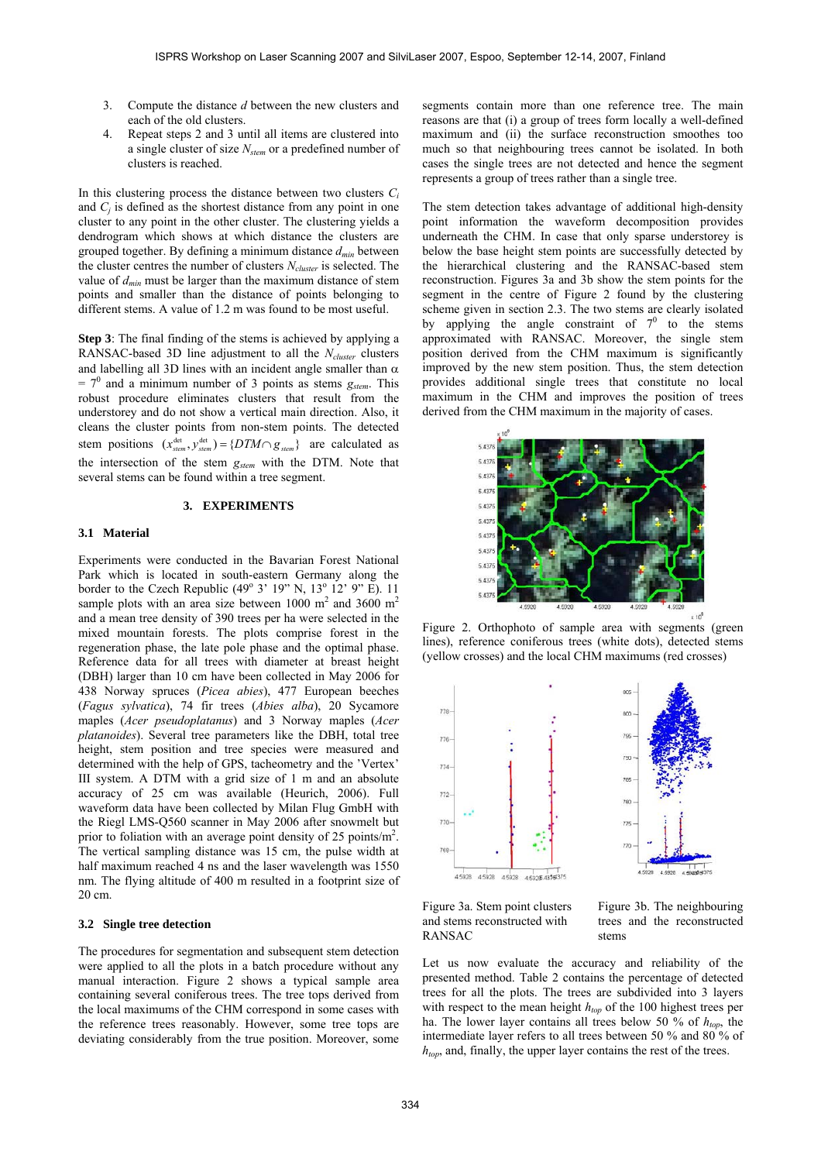- 3. Compute the distance *d* between the new clusters and each of the old clusters.
- 4. Repeat steps 2 and 3 until all items are clustered into a single cluster of size *Nstem* or a predefined number of clusters is reached.

In this clustering process the distance between two clusters  $C_i$ and *Cj* is defined as the shortest distance from any point in one cluster to any point in the other cluster. The clustering yields a dendrogram which shows at which distance the clusters are grouped together. By defining a minimum distance *dmin* between the cluster centres the number of clusters *Ncluster* is selected. The value of *dmin* must be larger than the maximum distance of stem points and smaller than the distance of points belonging to different stems. A value of 1.2 m was found to be most useful.

**Step 3**: The final finding of the stems is achieved by applying a RANSAC-based 3D line adjustment to all the *Ncluster* clusters and labelling all 3D lines with an incident angle smaller than  $\alpha$  $= 7<sup>0</sup>$  and a minimum number of 3 points as stems  $g_{\text{stem}}$ . This robust procedure eliminates clusters that result from the understorey and do not show a vertical main direction. Also, it cleans the cluster points from non-stem points. The detected stem positions  $(x_{\text{stem}}^{\text{det}}, y_{\text{stem}}^{\text{det}}) = \{DTM \cap g_{\text{stem}}\}\$ are calculated as the intersection of the stem *gstem* with the DTM. Note that several stems can be found within a tree segment.

#### **3. EXPERIMENTS**

#### **3.1 Material**

Experiments were conducted in the Bavarian Forest National Park which is located in south-eastern Germany along the border to the Czech Republic  $(49^{\circ} \, 3' \, 19'' \, N, 13^{\circ} \, 12' \, 9'' \, E)$ . 11 sample plots with an area size between 1000  $m^2$  and 3600  $m^2$ and a mean tree density of 390 trees per ha were selected in the mixed mountain forests. The plots comprise forest in the regeneration phase, the late pole phase and the optimal phase. Reference data for all trees with diameter at breast height (DBH) larger than 10 cm have been collected in May 2006 for 438 Norway spruces (*Picea abies*), 477 European beeches (*Fagus sylvatica*), 74 fir trees (*Abies alba*), 20 Sycamore maples (*Acer pseudoplatanus*) and 3 Norway maples (*Acer platanoides*). Several tree parameters like the DBH, total tree height, stem position and tree species were measured and determined with the help of GPS, tacheometry and the 'Vertex' III system. A DTM with a grid size of 1 m and an absolute accuracy of 25 cm was available (Heurich, 2006). Full waveform data have been collected by Milan Flug GmbH with the Riegl LMS-Q560 scanner in May 2006 after snowmelt but prior to foliation with an average point density of 25 points/m<sup>2</sup>. The vertical sampling distance was 15 cm, the pulse width at half maximum reached 4 ns and the laser wavelength was 1550 nm. The flying altitude of 400 m resulted in a footprint size of 20 cm.

#### **3.2 Single tree detection**

The procedures for segmentation and subsequent stem detection were applied to all the plots in a batch procedure without any manual interaction. Figure 2 shows a typical sample area containing several coniferous trees. The tree tops derived from the local maximums of the CHM correspond in some cases with the reference trees reasonably. However, some tree tops are deviating considerably from the true position. Moreover, some segments contain more than one reference tree. The main reasons are that (i) a group of trees form locally a well-defined maximum and (ii) the surface reconstruction smoothes too much so that neighbouring trees cannot be isolated. In both cases the single trees are not detected and hence the segment represents a group of trees rather than a single tree.

The stem detection takes advantage of additional high-density point information the waveform decomposition provides underneath the CHM. In case that only sparse understorey is below the base height stem points are successfully detected by the hierarchical clustering and the RANSAC-based stem reconstruction. Figures 3a and 3b show the stem points for the segment in the centre of Figure 2 found by the clustering scheme given in section 2.3. The two stems are clearly isolated by applying the angle constraint of  $7<sup>0</sup>$  to the stems approximated with RANSAC. Moreover, the single stem position derived from the CHM maximum is significantly improved by the new stem position. Thus, the stem detection provides additional single trees that constitute no local maximum in the CHM and improves the position of trees derived from the CHM maximum in the majority of cases.



Figure 2. Orthophoto of sample area with segments (green lines), reference coniferous trees (white dots), detected stems (yellow crosses) and the local CHM maximums (red crosses)



Figure 3a. Stem point clusters and stems reconstructed with RANSAC

Figure 3b. The neighbouring trees and the reconstructed stems

Let us now evaluate the accuracy and reliability of the presented method. Table 2 contains the percentage of detected trees for all the plots. The trees are subdivided into 3 layers with respect to the mean height  $h_{top}$  of the 100 highest trees per ha. The lower layer contains all trees below 50 % of  $h_{top}$ , the intermediate layer refers to all trees between 50 % and 80 % of *htop*, and, finally, the upper layer contains the rest of the trees.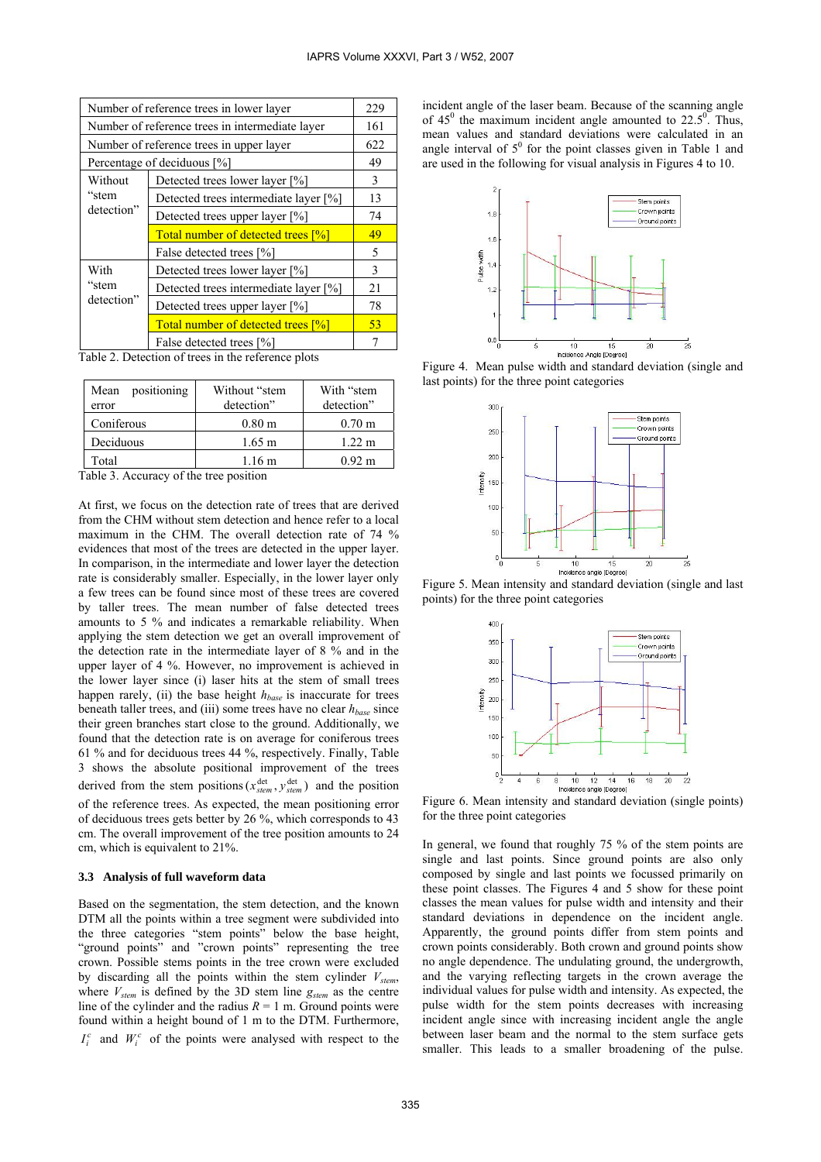| Number of reference trees in lower layer        |                                           |    |
|-------------------------------------------------|-------------------------------------------|----|
| Number of reference trees in intermediate layer |                                           |    |
| Number of reference trees in upper layer        |                                           |    |
| Percentage of deciduous [%]                     |                                           |    |
| Without<br>"stem<br>detection"                  | Detected trees lower layer [%]            | 3  |
|                                                 | Detected trees intermediate layer [%]     | 13 |
|                                                 | Detected trees upper layer [%]            | 74 |
|                                                 | <b>Total number of detected trees [%]</b> | 49 |
|                                                 | False detected trees [%]                  | 5  |
| With<br>"stem<br>detection"                     | Detected trees lower layer [%]            | 3  |
|                                                 | Detected trees intermediate layer [%]     | 21 |
|                                                 | Detected trees upper layer [%]            | 78 |
|                                                 | <b>Total number of detected trees [%]</b> | 53 |
|                                                 | False detected trees [%]                  |    |

Table 2. Detection of trees in the reference plots

| positioning<br>Mean<br>error | Without "stem<br>detection" | With "stem<br>detection" |
|------------------------------|-----------------------------|--------------------------|
| Coniferous                   | 0.80 <sub>m</sub>           | 0.70 <sub>m</sub>        |
| Deciduous                    | $1.65 \;{\rm m}$            | $1.22 \text{ m}$         |
| Total                        | 1.16 m                      | 0.92 m                   |

Table 3. Accuracy of the tree position

At first, we focus on the detection rate of trees that are derived from the CHM without stem detection and hence refer to a local maximum in the CHM. The overall detection rate of 74 % evidences that most of the trees are detected in the upper layer. In comparison, in the intermediate and lower layer the detection rate is considerably smaller. Especially, in the lower layer only a few trees can be found since most of these trees are covered by taller trees. The mean number of false detected trees amounts to 5 % and indicates a remarkable reliability. When applying the stem detection we get an overall improvement of the detection rate in the intermediate layer of 8 % and in the upper layer of 4 %. However, no improvement is achieved in the lower layer since (i) laser hits at the stem of small trees happen rarely, (ii) the base height  $h_{base}$  is inaccurate for trees beneath taller trees, and (iii) some trees have no clear *hbase* since their green branches start close to the ground. Additionally, we found that the detection rate is on average for coniferous trees 61 % and for deciduous trees 44 %, respectively. Finally, Table 3 shows the absolute positional improvement of the trees derived from the stem positions ( $x_{stem}^{det}$ ,  $y_{stem}^{det}$ ) and the position of the reference trees. As expected, the mean positioning error of deciduous trees gets better by 26 %, which corresponds to 43 cm. The overall improvement of the tree position amounts to 24 cm, which is equivalent to 21%.

#### **3.3 Analysis of full waveform data**

Based on the segmentation, the stem detection, and the known DTM all the points within a tree segment were subdivided into the three categories "stem points" below the base height, "ground points" and "crown points" representing the tree crown. Possible stems points in the tree crown were excluded by discarding all the points within the stem cylinder  $V_{stem}$ , where  $V_{\text{stem}}$  is defined by the 3D stem line  $g_{\text{stem}}$  as the centre line of the cylinder and the radius  $R = 1$  m. Ground points were found within a height bound of 1 m to the DTM. Furthermore,  $I_i^c$  and  $W_i^c$  of the points were analysed with respect to the incident angle of the laser beam. Because of the scanning angle of  $45^{\circ}$  the maximum incident angle amounted to  $22.5^{\circ}$ . Thus, mean values and standard deviations were calculated in an angle interval of  $5^0$  for the point classes given in Table 1 and are used in the following for visual analysis in Figures 4 to 10.



Figure 4. Mean pulse width and standard deviation (single and last points) for the three point categories



Figure 5. Mean intensity and standard deviation (single and last points) for the three point categories



Figure 6. Mean intensity and standard deviation (single points) for the three point categories

In general, we found that roughly 75 % of the stem points are single and last points. Since ground points are also only composed by single and last points we focussed primarily on these point classes. The Figures 4 and 5 show for these point classes the mean values for pulse width and intensity and their standard deviations in dependence on the incident angle. Apparently, the ground points differ from stem points and crown points considerably. Both crown and ground points show no angle dependence. The undulating ground, the undergrowth, and the varying reflecting targets in the crown average the individual values for pulse width and intensity. As expected, the pulse width for the stem points decreases with increasing incident angle since with increasing incident angle the angle between laser beam and the normal to the stem surface gets smaller. This leads to a smaller broadening of the pulse.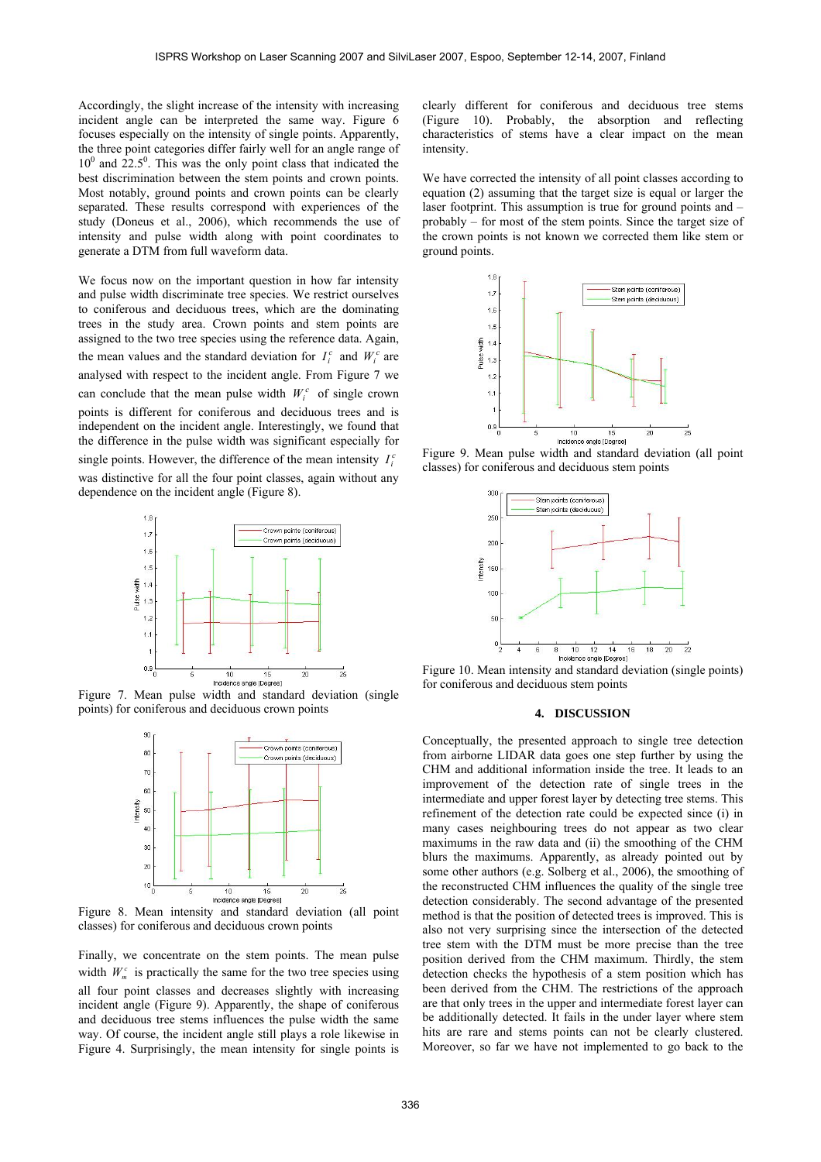Accordingly, the slight increase of the intensity with increasing incident angle can be interpreted the same way. Figure 6 focuses especially on the intensity of single points. Apparently, the three point categories differ fairly well for an angle range of  $10<sup>0</sup>$  and  $22.5<sup>0</sup>$ . This was the only point class that indicated the best discrimination between the stem points and crown points. Most notably, ground points and crown points can be clearly separated. These results correspond with experiences of the study (Doneus et al., 2006), which recommends the use of intensity and pulse width along with point coordinates to generate a DTM from full waveform data.

We focus now on the important question in how far intensity and pulse width discriminate tree species. We restrict ourselves to coniferous and deciduous trees, which are the dominating trees in the study area. Crown points and stem points are assigned to the two tree species using the reference data. Again, the mean values and the standard deviation for  $I_i^c$  and  $W_i^c$  are analysed with respect to the incident angle. From Figure 7 we can conclude that the mean pulse width  $W_i^c$  of single crown points is different for coniferous and deciduous trees and is independent on the incident angle. Interestingly, we found that the difference in the pulse width was significant especially for single points. However, the difference of the mean intensity  $I_i^c$ was distinctive for all the four point classes, again without any dependence on the incident angle (Figure 8).



Figure 7. Mean pulse width and standard deviation (single points) for coniferous and deciduous crown points



Figure 8. Mean intensity and standard deviation (all point classes) for coniferous and deciduous crown points

Finally, we concentrate on the stem points. The mean pulse width  $W_{m}^{c}$  is practically the same for the two tree species using all four point classes and decreases slightly with increasing incident angle (Figure 9). Apparently, the shape of coniferous and deciduous tree stems influences the pulse width the same way. Of course, the incident angle still plays a role likewise in Figure 4. Surprisingly, the mean intensity for single points is clearly different for coniferous and deciduous tree stems (Figure 10). Probably, the absorption and reflecting characteristics of stems have a clear impact on the mean intensity.

We have corrected the intensity of all point classes according to equation (2) assuming that the target size is equal or larger the laser footprint. This assumption is true for ground points and – probably – for most of the stem points. Since the target size of the crown points is not known we corrected them like stem or ground points.



Figure 9. Mean pulse width and standard deviation (all point classes) for coniferous and deciduous stem points



Figure 10. Mean intensity and standard deviation (single points) for coniferous and deciduous stem points

### **4. DISCUSSION**

Conceptually, the presented approach to single tree detection from airborne LIDAR data goes one step further by using the CHM and additional information inside the tree. It leads to an improvement of the detection rate of single trees in the intermediate and upper forest layer by detecting tree stems. This refinement of the detection rate could be expected since (i) in many cases neighbouring trees do not appear as two clear maximums in the raw data and (ii) the smoothing of the CHM blurs the maximums. Apparently, as already pointed out by some other authors (e.g. Solberg et al., 2006), the smoothing of the reconstructed CHM influences the quality of the single tree detection considerably. The second advantage of the presented method is that the position of detected trees is improved. This is also not very surprising since the intersection of the detected tree stem with the DTM must be more precise than the tree position derived from the CHM maximum. Thirdly, the stem detection checks the hypothesis of a stem position which has been derived from the CHM. The restrictions of the approach are that only trees in the upper and intermediate forest layer can be additionally detected. It fails in the under layer where stem hits are rare and stems points can not be clearly clustered. Moreover, so far we have not implemented to go back to the